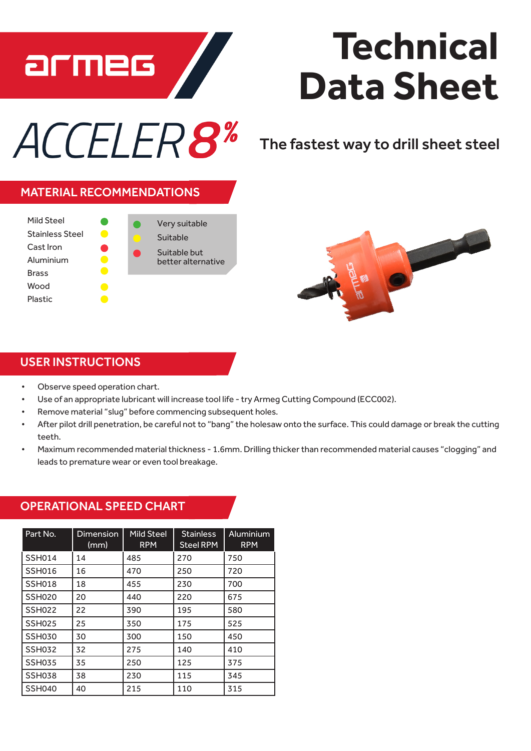

## **Technical Data Sheet**

# ACCELER8\*

The fastest way to drill sheet steel

#### MATERIAL RECOMMENDATIONS





### USER INSTRUCTIONS

- • Observe speed operation chart.
- Use of an appropriate lubricant will increase tool life try Armeg Cutting Compound (ECC002).
- Remove material "slug" before commencing subsequent holes.
- After pilot drill penetration, be careful not to "bang" the holesaw onto the surface. This could damage or break the cutting teeth.
- Maximum recommended material thickness 1.6mm. Drilling thicker than recommended material causes "clogging" and leads to premature wear or even tool breakage.

#### Part No. Dimension (mm) Mild Steel RPM **Stainless** Steel RPM Aluminium RPM SSH014 | 14 | 485 | 270 | 750 SSH016 16 470 250 720 SSH018 18 455 230 700 SSH020 20 440 220 675 SSH022 22 390 195 580 SSH025 25 350 175 525 SSH030 30 1300 150 1450 SSH032 32 275 140 410 SSH035 35 250 125 375 SSH038 38 230 115 345 SSH040 40 215 110 315

#### OPERATIONAL SPEED CHART